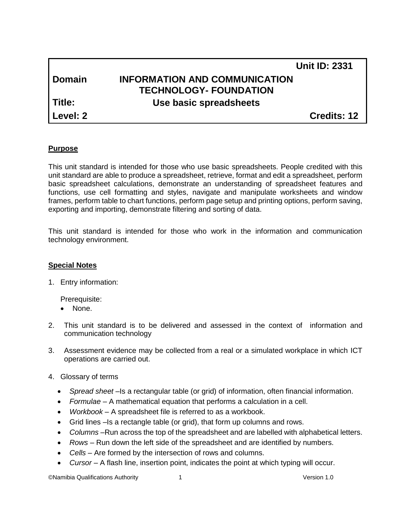|            |                                      | <b>Unit ID: 2331</b> |
|------------|--------------------------------------|----------------------|
| l Domain   | <b>INFORMATION AND COMMUNICATION</b> |                      |
|            | <b>TECHNOLOGY- FOUNDATION</b>        |                      |
| l Title:   | Use basic spreadsheets               |                      |
| l Level: 2 |                                      | <b>Credits: 12</b>   |

#### **Purpose**

This unit standard is intended for those who use basic spreadsheets. People credited with this unit standard are able to produce a spreadsheet, retrieve, format and edit a spreadsheet, perform basic spreadsheet calculations, demonstrate an understanding of spreadsheet features and functions, use cell formatting and styles, navigate and manipulate worksheets and window frames, perform table to chart functions, perform page setup and printing options, perform saving, exporting and importing, demonstrate filtering and sorting of data.

This unit standard is intended for those who work in the information and communication technology environment.

#### **Special Notes**

1. Entry information:

Prerequisite:

- None.
- 2. This unit standard is to be delivered and assessed in the context of information and communication technology
- 3. Assessment evidence may be collected from a real or a simulated workplace in which ICT operations are carried out.
- 4. Glossary of terms
	- *Spread sheet* –Is a rectangular table (or grid) of information, often financial information.
	- *Formulae* A mathematical equation that performs a calculation in a cell.
	- *Workbook* A spreadsheet file is referred to as a workbook.
	- Grid lines –Is a rectangle table (or grid), that form up columns and rows.
	- *Columns* –Run across the top of the spreadsheet and are labelled with alphabetical letters.
	- *Rows* Run down the left side of the spreadsheet and are identified by numbers.
	- *Cells* Are formed by the intersection of rows and columns.
	- *Cursor* A flash line, insertion point, indicates the point at which typing will occur.

©Namibia Qualifications Authority 1 Version 1.0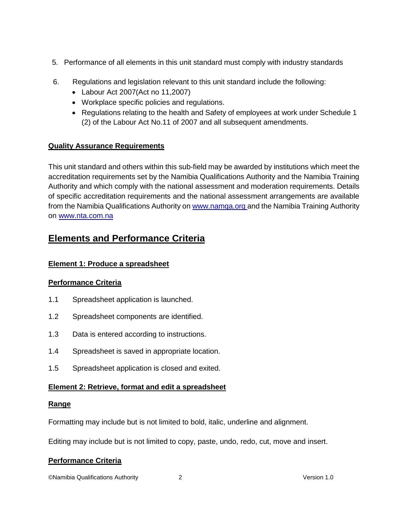- 5. Performance of all elements in this unit standard must comply with industry standards
- 6. Regulations and legislation relevant to this unit standard include the following:
	- Labour Act 2007(Act no 11,2007)
	- Workplace specific policies and regulations.
	- Regulations relating to the health and Safety of employees at work under Schedule 1 (2) of the Labour Act No.11 of 2007 and all subsequent amendments.

# **Quality Assurance Requirements**

This unit standard and others within this sub-field may be awarded by institutions which meet the accreditation requirements set by the Namibia Qualifications Authority and the Namibia Training Authority and which comply with the national assessment and moderation requirements. Details of specific accreditation requirements and the national assessment arrangements are available from the Namibia Qualifications Authority on www.namga.org and the Namibia Training Authority on [www.nta.com.na](http://www.nta.com.na/)

# **Elements and Performance Criteria**

# **Element 1: Produce a spreadsheet**

# **Performance Criteria**

- 1.1 [Spreadsheet application is launched.](http://www.nta.com.na/)
- 1.2 Spreadsheet components are identified.
- 1.3 [Data is entered according to instructions.](http://www.nta.com.na/)
- 1.4 [Spreadsheet is saved in appropriate location.](http://www.nta.com.na/)
- 1.5 Spreadsheet application is closed and exited.

# **Element 2: Retrieve, format and edit a spreadsheet**

## **Range**

Formatting may include but is not limited to bold, italic, underline and alignment.

Editing may include but is not limited to copy, paste, undo, redo, cut, move and insert.

# **Performance Criteria**

©Namibia Qualifications Authority 2 Version 1.0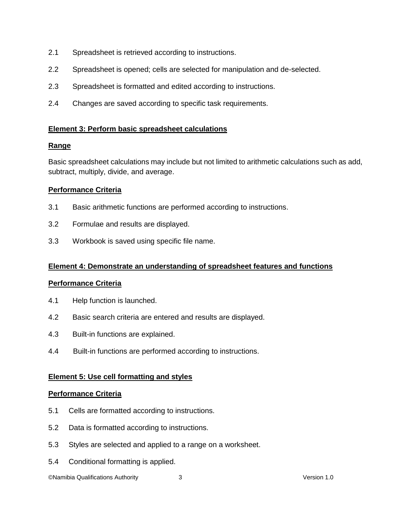- 2.1 Spreadsheet is retrieved according to instructions.
- 2.2 Spreadsheet is opened; cells are selected for manipulation and de-selected.
- 2.3 Spreadsheet is formatted and edited according to instructions.
- 2.4 Changes are saved according to specific task requirements.

## **Element 3: Perform basic spreadsheet calculations**

## **Range**

Basic spreadsheet calculations may include but not limited to arithmetic calculations such as add, subtract, multiply, divide, and average.

## **Performance Criteria**

- 3.1 Basic arithmetic functions are performed according to instructions.
- 3.2 Formulae and results are displayed.
- 3.3 Workbook is saved using specific file name.

#### **Element 4: Demonstrate an understanding of spreadsheet features and functions**

#### **Performance Criteria**

- 4.1 Help function is launched.
- 4.2 Basic search criteria are entered and results are displayed.
- 4.3 Built-in functions are explained.
- 4.4 Built-in functions are performed according to instructions.

#### **Element 5: Use cell formatting and styles**

#### **Performance Criteria**

- 5.1 Cells are formatted according to instructions.
- 5.2 Data is formatted according to instructions.
- 5.3 Styles are selected and applied to a range on a worksheet.
- 5.4 Conditional formatting is applied.

©Namibia Qualifications Authority 3 Version 1.0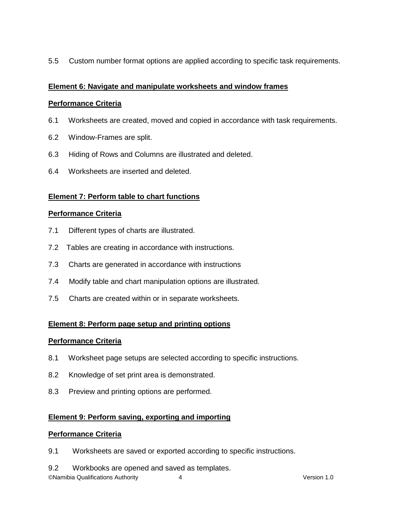5.5 Custom number format options are applied according to specific task requirements.

# **Element 6: Navigate and manipulate worksheets and window frames**

# **Performance Criteria**

- 6.1 Worksheets are created, moved and copied in accordance with task requirements.
- 6.2 Window-Frames are split.
- 6.3 Hiding of Rows and Columns are illustrated and deleted.
- 6.4 Worksheets are inserted and deleted.

# **Element 7: Perform table to chart functions**

## **Performance Criteria**

- 7.1 Different types of charts are illustrated.
- 7.2 Tables are creating in accordance with instructions.
- 7.3 Charts are generated in accordance with instructions
- 7.4 Modify table and chart manipulation options are illustrated.
- 7.5 Charts are created within or in separate worksheets.

# **Element 8: Perform page setup and printing options**

## **Performance Criteria**

- 8.1 Worksheet page setups are selected according to specific instructions.
- 8.2 Knowledge of set print area is demonstrated.
- 8.3 Preview and printing options are performed.

# **Element 9: Perform saving, exporting and importing**

## **Performance Criteria**

- 9.1 Worksheets are saved or exported according to specific instructions.
- 9.2 Workbooks are opened and saved as templates.